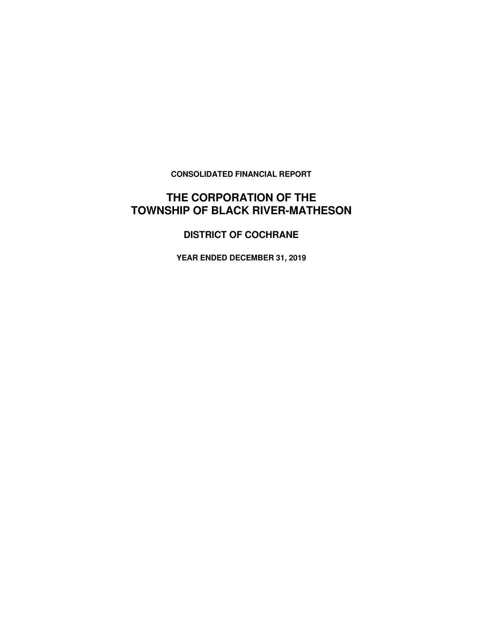**CONSOLIDATED FINANCIAL REPORT** 

# **THE CORPORATION OF THE TOWNSHIP OF BLACK RIVER-MATHESON**

# **DISTRICT OF COCHRANE**

**YEAR ENDED DECEMBER 31, 2019**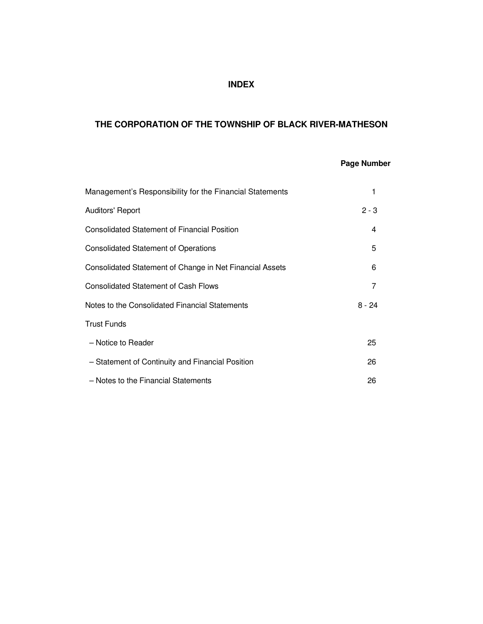# **INDEX**

# **THE CORPORATION OF THE TOWNSHIP OF BLACK RIVER-MATHESON**

# **Page Number**

| Management's Responsibility for the Financial Statements |          |
|----------------------------------------------------------|----------|
| <b>Auditors' Report</b>                                  | $2 - 3$  |
| <b>Consolidated Statement of Financial Position</b>      | 4        |
| <b>Consolidated Statement of Operations</b>              | 5        |
| Consolidated Statement of Change in Net Financial Assets | 6        |
| <b>Consolidated Statement of Cash Flows</b>              | 7        |
| Notes to the Consolidated Financial Statements           | $8 - 24$ |
| <b>Trust Funds</b>                                       |          |
| - Notice to Reader                                       | 25       |
| - Statement of Continuity and Financial Position         | 26       |
| - Notes to the Financial Statements                      | 26       |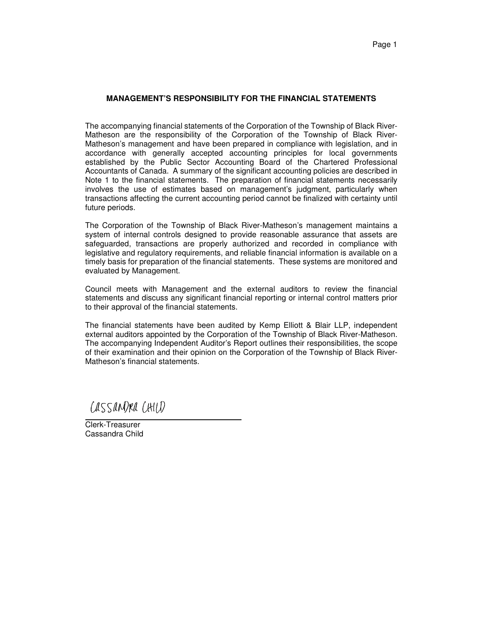#### **MANAGEMENT'S RESPONSIBILITY FOR THE FINANCIAL STATEMENTS**

The accompanying financial statements of the Corporation of the Township of Black River-Matheson are the responsibility of the Corporation of the Township of Black River-Matheson's management and have been prepared in compliance with legislation, and in accordance with generally accepted accounting principles for local governments established by the Public Sector Accounting Board of the Chartered Professional Accountants of Canada. A summary of the significant accounting policies are described in Note 1 to the financial statements. The preparation of financial statements necessarily involves the use of estimates based on management's judgment, particularly when transactions affecting the current accounting period cannot be finalized with certainty until future periods.

The Corporation of the Township of Black River-Matheson's management maintains a system of internal controls designed to provide reasonable assurance that assets are safeguarded, transactions are properly authorized and recorded in compliance with legislative and regulatory requirements, and reliable financial information is available on a timely basis for preparation of the financial statements. These systems are monitored and evaluated by Management.

Council meets with Management and the external auditors to review the financial statements and discuss any significant financial reporting or internal control matters prior to their approval of the financial statements.

The financial statements have been audited by Kemp Elliott & Blair LLP, independent external auditors appointed by the Corporation of the Township of Black River-Matheson. The accompanying Independent Auditor's Report outlines their responsibilities, the scope of their examination and their opinion on the Corporation of the Township of Black River-Matheson's financial statements.

CASSANDRA CHILD

Clerk-Treasurer Cassandra Child

 $\overline{a}$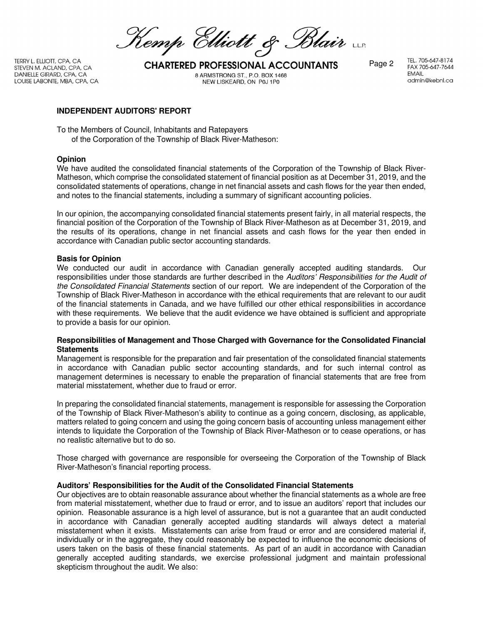Kemp Elliott & Blair

TERRY L. ELLIOTT, CPA, CA DANIELLE GIRARD, CPA, CA LOUISE LABONTE, MBA, CPA, CA

TERRY L. ELLIOTT, CPA, CA<br>STEVEN M. ACLAND, CPA, CA **CHARTERED PROFESSIONAL ACCOUNTANTS** Page 2 8 ARMSTRONG ST., P.O. BOX 1468 NEW LISKEARD, ON P0J 1P0

TEL. 705-647-8174 FAX 705-647-7644 **FMAIL** admin@kebnl.ca

### **INDEPENDENT AUDITORS' REPORT**

To the Members of Council, Inhabitants and Ratepayers of the Corporation of the Township of Black River-Matheson:

#### **Opinion**

We have audited the consolidated financial statements of the Corporation of the Township of Black River-Matheson, which comprise the consolidated statement of financial position as at December 31, 2019, and the consolidated statements of operations, change in net financial assets and cash flows for the year then ended, and notes to the financial statements, including a summary of significant accounting policies.

In our opinion, the accompanying consolidated financial statements present fairly, in all material respects, the financial position of the Corporation of the Township of Black River-Matheson as at December 31, 2019, and the results of its operations, change in net financial assets and cash flows for the year then ended in accordance with Canadian public sector accounting standards.

#### **Basis for Opinion**

We conducted our audit in accordance with Canadian generally accepted auditing standards. Our responsibilities under those standards are further described in the Auditors' Responsibilities for the Audit of the Consolidated Financial Statements section of our report. We are independent of the Corporation of the Township of Black River-Matheson in accordance with the ethical requirements that are relevant to our audit of the financial statements in Canada, and we have fulfilled our other ethical responsibilities in accordance with these requirements. We believe that the audit evidence we have obtained is sufficient and appropriate to provide a basis for our opinion.

### **Responsibilities of Management and Those Charged with Governance for the Consolidated Financial Statements**

Management is responsible for the preparation and fair presentation of the consolidated financial statements in accordance with Canadian public sector accounting standards, and for such internal control as management determines is necessary to enable the preparation of financial statements that are free from material misstatement, whether due to fraud or error.

In preparing the consolidated financial statements, management is responsible for assessing the Corporation of the Township of Black River-Matheson's ability to continue as a going concern, disclosing, as applicable, matters related to going concern and using the going concern basis of accounting unless management either intends to liquidate the Corporation of the Township of Black River-Matheson or to cease operations, or has no realistic alternative but to do so.

Those charged with governance are responsible for overseeing the Corporation of the Township of Black River-Matheson's financial reporting process.

### **Auditors' Responsibilities for the Audit of the Consolidated Financial Statements**

Our objectives are to obtain reasonable assurance about whether the financial statements as a whole are free from material misstatement, whether due to fraud or error, and to issue an auditors' report that includes our opinion. Reasonable assurance is a high level of assurance, but is not a guarantee that an audit conducted in accordance with Canadian generally accepted auditing standards will always detect a material misstatement when it exists. Misstatements can arise from fraud or error and are considered material if, individually or in the aggregate, they could reasonably be expected to influence the economic decisions of users taken on the basis of these financial statements. As part of an audit in accordance with Canadian generally accepted auditing standards, we exercise professional judgment and maintain professional skepticism throughout the audit. We also: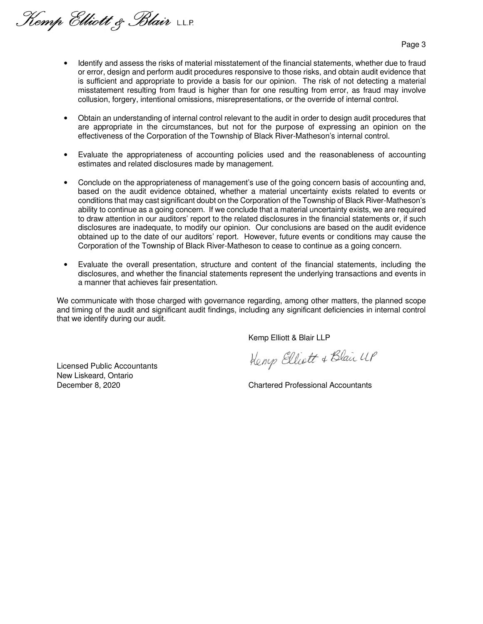Kemp Elliott & Blair LLP.

Page 3

- Identify and assess the risks of material misstatement of the financial statements, whether due to fraud or error, design and perform audit procedures responsive to those risks, and obtain audit evidence that is sufficient and appropriate to provide a basis for our opinion. The risk of not detecting a material misstatement resulting from fraud is higher than for one resulting from error, as fraud may involve collusion, forgery, intentional omissions, misrepresentations, or the override of internal control.
- Obtain an understanding of internal control relevant to the audit in order to design audit procedures that are appropriate in the circumstances, but not for the purpose of expressing an opinion on the effectiveness of the Corporation of the Township of Black River-Matheson's internal control.
- Evaluate the appropriateness of accounting policies used and the reasonableness of accounting estimates and related disclosures made by management.
- Conclude on the appropriateness of management's use of the going concern basis of accounting and, based on the audit evidence obtained, whether a material uncertainty exists related to events or conditions that may cast significant doubt on the Corporation of the Township of Black River-Matheson's ability to continue as a going concern. If we conclude that a material uncertainty exists, we are required to draw attention in our auditors' report to the related disclosures in the financial statements or, if such disclosures are inadequate, to modify our opinion. Our conclusions are based on the audit evidence obtained up to the date of our auditors' report. However, future events or conditions may cause the Corporation of the Township of Black River-Matheson to cease to continue as a going concern.
- Evaluate the overall presentation, structure and content of the financial statements, including the disclosures, and whether the financial statements represent the underlying transactions and events in a manner that achieves fair presentation.

We communicate with those charged with governance regarding, among other matters, the planned scope and timing of the audit and significant audit findings, including any significant deficiencies in internal control that we identify during our audit.

Kemp Elliott & Blair LLP

Licensed Public Accountants New Liskeard, Ontario

Kemp Elliott & Blair UP

December 8, 2020 Chartered Professional Accountants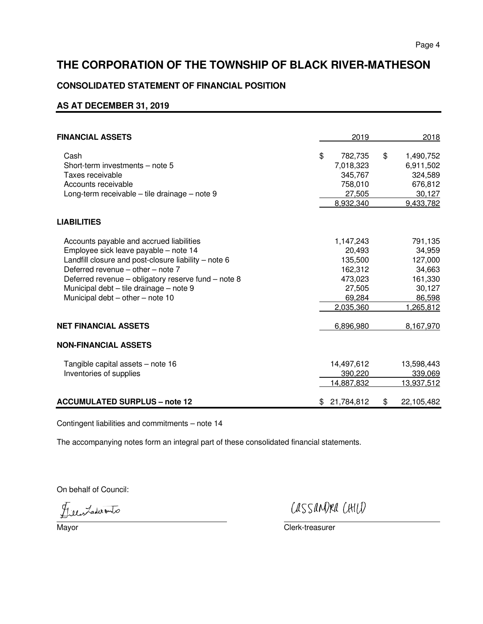## **CONSOLIDATED STATEMENT OF FINANCIAL POSITION**

# **AS AT DECEMBER 31, 2019**

| <b>FINANCIAL ASSETS</b>                              | 2019             |                   | 2018       |
|------------------------------------------------------|------------------|-------------------|------------|
| Cash                                                 | \$<br>782,735    | $\boldsymbol{\$}$ | 1,490,752  |
| Short-term investments - note 5                      | 7,018,323        |                   | 6,911,502  |
| Taxes receivable                                     | 345,767          |                   | 324,589    |
| Accounts receivable                                  | 758,010          |                   | 676,812    |
| Long-term receivable - tile drainage - note 9        | 27,505           |                   | 30,127     |
|                                                      | 8,932,340        |                   | 9,433,782  |
| <b>LIABILITIES</b>                                   |                  |                   |            |
| Accounts payable and accrued liabilities             | 1,147,243        |                   | 791,135    |
| Employee sick leave payable - note 14                | 20.493           |                   | 34,959     |
| Landfill closure and post-closure liability - note 6 | 135,500          |                   | 127,000    |
| Deferred revenue - other - note 7                    | 162,312          |                   | 34,663     |
| Deferred revenue - obligatory reserve fund - note 8  | 473,023          |                   | 161,330    |
| Municipal debt - tile drainage - note 9              | 27,505           |                   | 30,127     |
| Municipal debt - other - note 10                     | 69,284           |                   | 86,598     |
|                                                      | 2,035,360        |                   | 1,265,812  |
| <b>NET FINANCIAL ASSETS</b>                          | 6,896,980        |                   | 8,167,970  |
| <b>NON-FINANCIAL ASSETS</b>                          |                  |                   |            |
| Tangible capital assets - note 16                    | 14,497,612       |                   | 13,598,443 |
| Inventories of supplies                              | 390,220          |                   | 339,069    |
|                                                      | 14,887,832       |                   | 13,937,512 |
| <b>ACCUMULATED SURPLUS - note 12</b>                 | \$<br>21,784,812 | \$                | 22,105,482 |

Contingent liabilities and commitments – note 14

The accompanying notes form an integral part of these consolidated financial statements.

On behalf of Council:

Juen Zaderanto

CASSANDRA CHILD

Clerk-treasurer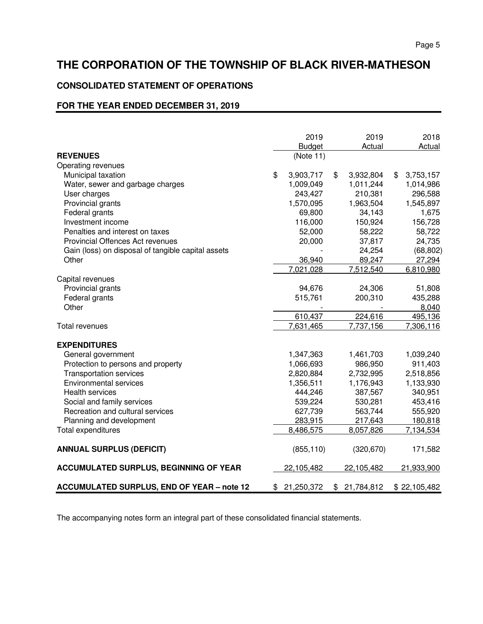# **CONSOLIDATED STATEMENT OF OPERATIONS**

## **FOR THE YEAR ENDED DECEMBER 31, 2019**

|                                                    | 2019             | 2019             | 2018            |
|----------------------------------------------------|------------------|------------------|-----------------|
|                                                    | <b>Budget</b>    | Actual           | Actual          |
| <b>REVENUES</b>                                    | (Note 11)        |                  |                 |
| Operating revenues                                 |                  |                  |                 |
| Municipal taxation                                 | \$<br>3,903,717  | \$<br>3,932,804  | \$<br>3,753,157 |
| Water, sewer and garbage charges                   | 1,009,049        | 1,011,244        | 1,014,986       |
| User charges                                       | 243,427          | 210,381          | 296,588         |
| Provincial grants                                  | 1,570,095        | 1,963,504        | 1,545,897       |
| Federal grants                                     | 69,800           | 34,143           | 1,675           |
| Investment income                                  | 116,000          | 150,924          | 156,728         |
| Penalties and interest on taxes                    | 52,000           | 58,222           | 58,722          |
| Provincial Offences Act revenues                   | 20,000           | 37,817           | 24,735          |
| Gain (loss) on disposal of tangible capital assets |                  | 24,254           | (68, 802)       |
| Other                                              | 36,940           | 89,247           | 27,294          |
|                                                    | 7,021,028        | 7,512,540        | 6,810,980       |
| Capital revenues                                   |                  |                  |                 |
| Provincial grants                                  | 94,676           | 24,306           | 51,808          |
| Federal grants                                     | 515,761          | 200,310          | 435,288         |
| Other                                              |                  |                  | 8,040           |
|                                                    | 610,437          | 224,616          | 495,136         |
| Total revenues                                     | 7,631,465        | 7,737,156        | 7,306,116       |
|                                                    |                  |                  |                 |
| <b>EXPENDITURES</b>                                |                  |                  |                 |
| General government                                 | 1,347,363        | 1,461,703        | 1,039,240       |
| Protection to persons and property                 | 1,066,693        | 986,950          | 911,403         |
| <b>Transportation services</b>                     | 2,820,884        | 2,732,995        | 2,518,856       |
| <b>Environmental services</b>                      | 1,356,511        | 1,176,943        | 1,133,930       |
| <b>Health services</b>                             | 444,246          | 387,567          | 340,951         |
| Social and family services                         | 539,224          | 530,281          | 453,416         |
| Recreation and cultural services                   | 627,739          | 563,744          | 555,920         |
| Planning and development                           | 283,915          | 217,643          | 180,818         |
| Total expenditures                                 | 8,486,575        | 8,057,826        | 7,134,534       |
| <b>ANNUAL SURPLUS (DEFICIT)</b>                    | (855, 110)       | (320, 670)       | 171,582         |
|                                                    |                  |                  |                 |
| <b>ACCUMULATED SURPLUS, BEGINNING OF YEAR</b>      | 22,105,482       | 22,105,482       | 21,933,900      |
| <b>ACCUMULATED SURPLUS, END OF YEAR - note 12</b>  | \$<br>21,250,372 | \$<br>21,784,812 | \$22,105,482    |

The accompanying notes form an integral part of these consolidated financial statements.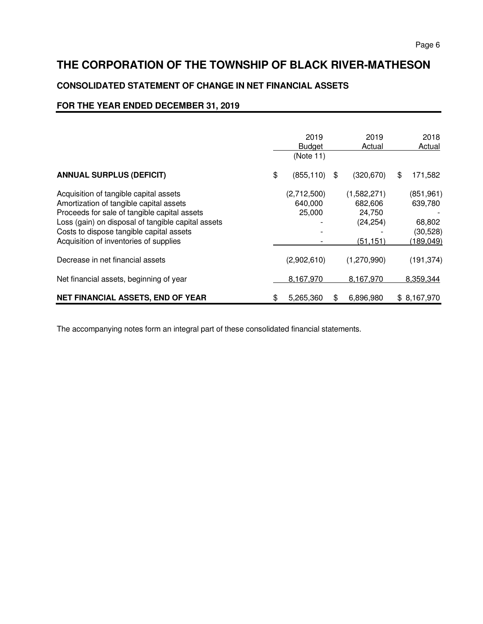# **CONSOLIDATED STATEMENT OF CHANGE IN NET FINANCIAL ASSETS**

## **FOR THE YEAR ENDED DECEMBER 31, 2019**

|                                                                                                                                                                                                                                                                               | 2019<br><b>Budget</b><br>(Note 11) | 2019<br>Actual                                            | 2018<br>Actual                                            |
|-------------------------------------------------------------------------------------------------------------------------------------------------------------------------------------------------------------------------------------------------------------------------------|------------------------------------|-----------------------------------------------------------|-----------------------------------------------------------|
| <b>ANNUAL SURPLUS (DEFICIT)</b>                                                                                                                                                                                                                                               | \$<br>(855, 110)                   | \$<br>(320, 670)                                          | \$<br>171,582                                             |
| Acquisition of tangible capital assets<br>Amortization of tangible capital assets<br>Proceeds for sale of tangible capital assets<br>Loss (gain) on disposal of tangible capital assets<br>Costs to dispose tangible capital assets<br>Acquisition of inventories of supplies | (2,712,500)<br>640,000<br>25,000   | (1,582,271)<br>682,606<br>24,750<br>(24, 254)<br>(51,151) | (851, 961)<br>639,780<br>68,802<br>(30, 528)<br>(189,049) |
| Decrease in net financial assets                                                                                                                                                                                                                                              | (2,902,610)                        | (1,270,990)                                               | (191, 374)                                                |
| Net financial assets, beginning of year                                                                                                                                                                                                                                       | 8,167,970                          | 8,167,970                                                 | 8,359,344                                                 |
| NET FINANCIAL ASSETS, END OF YEAR                                                                                                                                                                                                                                             | \$<br>5,265,360                    | \$<br>6,896,980                                           | \$8,167,970                                               |

The accompanying notes form an integral part of these consolidated financial statements.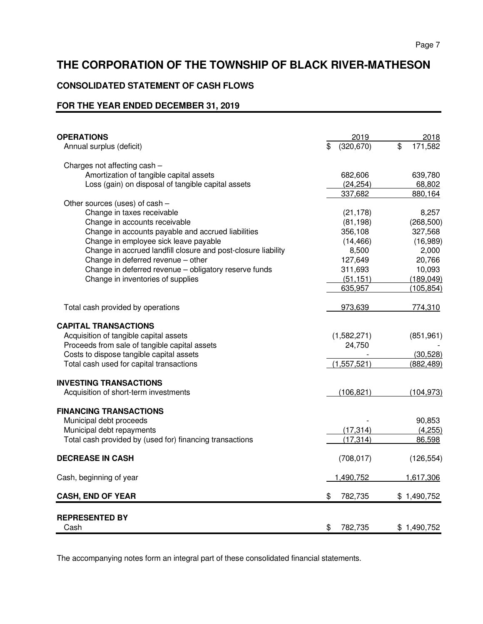# **CONSOLIDATED STATEMENT OF CASH FLOWS**

## **FOR THE YEAR ENDED DECEMBER 31, 2019**

| <b>OPERATIONS</b>                                             | 2019<br>\$    | 2018<br>\$  |
|---------------------------------------------------------------|---------------|-------------|
| Annual surplus (deficit)                                      | (320, 670)    | 171,582     |
| Charges not affecting cash -                                  |               |             |
| Amortization of tangible capital assets                       | 682,606       | 639,780     |
| Loss (gain) on disposal of tangible capital assets            | (24, 254)     | 68,802      |
|                                                               | 337.682       | 880,164     |
| Other sources (uses) of cash -                                |               |             |
| Change in taxes receivable                                    | (21, 178)     | 8,257       |
| Change in accounts receivable                                 | (81, 198)     | (268, 500)  |
| Change in accounts payable and accrued liabilities            | 356,108       | 327,568     |
| Change in employee sick leave payable                         | (14, 466)     | (16,989)    |
| Change in accrued landfill closure and post-closure liability | 8,500         | 2,000       |
| Change in deferred revenue - other                            | 127,649       | 20,766      |
| Change in deferred revenue - obligatory reserve funds         | 311,693       | 10,093      |
| Change in inventories of supplies                             | (51, 151)     | (189, 049)  |
|                                                               | 635,957       | (105, 854)  |
| Total cash provided by operations                             | 973,639       | 774,310     |
|                                                               |               |             |
| <b>CAPITAL TRANSACTIONS</b>                                   |               |             |
| Acquisition of tangible capital assets                        | (1,582,271)   | (851, 961)  |
| Proceeds from sale of tangible capital assets                 | 24,750        |             |
| Costs to dispose tangible capital assets                      |               | (30, 528)   |
| Total cash used for capital transactions                      | (1,557,521)   | (882, 489)  |
| <b>INVESTING TRANSACTIONS</b>                                 |               |             |
| Acquisition of short-term investments                         | (106, 821)    | (104, 973)  |
| <b>FINANCING TRANSACTIONS</b>                                 |               |             |
| Municipal debt proceeds                                       |               | 90,853      |
| Municipal debt repayments                                     | (17, 314)     | (4,255)     |
| Total cash provided by (used for) financing transactions      | (17, 314)     | 86,598      |
| <b>DECREASE IN CASH</b>                                       | (708, 017)    | (126, 554)  |
| Cash, beginning of year                                       | 1,490,752     | 1,617,306   |
| <b>CASH, END OF YEAR</b>                                      | \$<br>782,735 | \$1,490,752 |
| <b>REPRESENTED BY</b><br>Cash                                 | \$<br>782.735 | \$1,490,752 |

The accompanying notes form an integral part of these consolidated financial statements.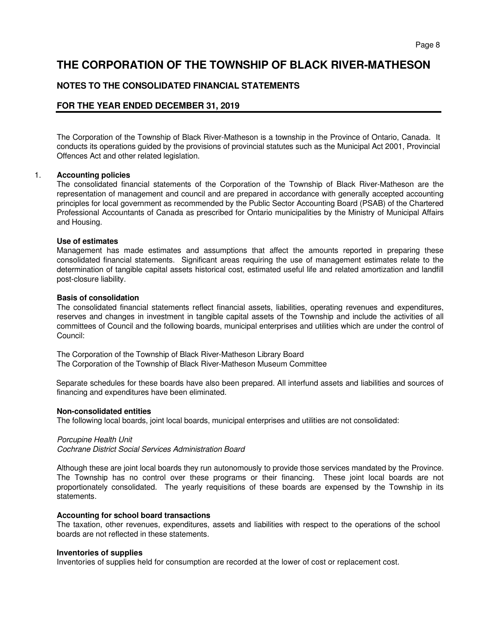## **NOTES TO THE CONSOLIDATED FINANCIAL STATEMENTS**

## **FOR THE YEAR ENDED DECEMBER 31, 2019**

 The Corporation of the Township of Black River-Matheson is a township in the Province of Ontario, Canada. It conducts its operations guided by the provisions of provincial statutes such as the Municipal Act 2001, Provincial Offences Act and other related legislation.

#### 1. **Accounting policies**

The consolidated financial statements of the Corporation of the Township of Black River-Matheson are the representation of management and council and are prepared in accordance with generally accepted accounting principles for local government as recommended by the Public Sector Accounting Board (PSAB) of the Chartered Professional Accountants of Canada as prescribed for Ontario municipalities by the Ministry of Municipal Affairs and Housing.

#### **Use of estimates**

Management has made estimates and assumptions that affect the amounts reported in preparing these consolidated financial statements. Significant areas requiring the use of management estimates relate to the determination of tangible capital assets historical cost, estimated useful life and related amortization and landfill post-closure liability.

#### **Basis of consolidation**

The consolidated financial statements reflect financial assets, liabilities, operating revenues and expenditures, reserves and changes in investment in tangible capital assets of the Township and include the activities of all committees of Council and the following boards, municipal enterprises and utilities which are under the control of Council:

The Corporation of the Township of Black River-Matheson Library Board The Corporation of the Township of Black River-Matheson Museum Committee

Separate schedules for these boards have also been prepared. All interfund assets and liabilities and sources of financing and expenditures have been eliminated.

#### **Non-consolidated entities**

The following local boards, joint local boards, municipal enterprises and utilities are not consolidated:

#### Porcupine Health Unit

Cochrane District Social Services Administration Board

Although these are joint local boards they run autonomously to provide those services mandated by the Province. The Township has no control over these programs or their financing. These joint local boards are not proportionately consolidated. The yearly requisitions of these boards are expensed by the Township in its statements.

#### **Accounting for school board transactions**

The taxation, other revenues, expenditures, assets and liabilities with respect to the operations of the school boards are not reflected in these statements.

### **Inventories of supplies**

Inventories of supplies held for consumption are recorded at the lower of cost or replacement cost.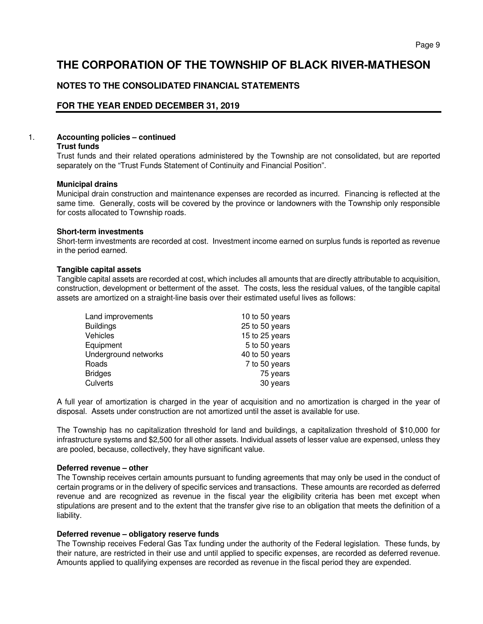## **NOTES TO THE CONSOLIDATED FINANCIAL STATEMENTS**

## **FOR THE YEAR ENDED DECEMBER 31, 2019**

## 1. **Accounting policies – continued**

### **Trust funds**

Trust funds and their related operations administered by the Township are not consolidated, but are reported separately on the "Trust Funds Statement of Continuity and Financial Position".

### **Municipal drains**

Municipal drain construction and maintenance expenses are recorded as incurred. Financing is reflected at the same time. Generally, costs will be covered by the province or landowners with the Township only responsible for costs allocated to Township roads.

#### **Short-term investments**

Short-term investments are recorded at cost. Investment income earned on surplus funds is reported as revenue in the period earned.

### **Tangible capital assets**

Tangible capital assets are recorded at cost, which includes all amounts that are directly attributable to acquisition, construction, development or betterment of the asset. The costs, less the residual values, of the tangible capital assets are amortized on a straight-line basis over their estimated useful lives as follows:

| 10 to 50 years |
|----------------|
| 25 to 50 years |
| 15 to 25 years |
| 5 to 50 years  |
| 40 to 50 years |
| 7 to 50 years  |
| 75 years       |
| 30 years       |
|                |

A full year of amortization is charged in the year of acquisition and no amortization is charged in the year of disposal. Assets under construction are not amortized until the asset is available for use.

The Township has no capitalization threshold for land and buildings, a capitalization threshold of \$10,000 for infrastructure systems and \$2,500 for all other assets. Individual assets of lesser value are expensed, unless they are pooled, because, collectively, they have significant value.

### **Deferred revenue – other**

The Township receives certain amounts pursuant to funding agreements that may only be used in the conduct of certain programs or in the delivery of specific services and transactions. These amounts are recorded as deferred revenue and are recognized as revenue in the fiscal year the eligibility criteria has been met except when stipulations are present and to the extent that the transfer give rise to an obligation that meets the definition of a liability.

### **Deferred revenue – obligatory reserve funds**

The Township receives Federal Gas Tax funding under the authority of the Federal legislation. These funds, by their nature, are restricted in their use and until applied to specific expenses, are recorded as deferred revenue. Amounts applied to qualifying expenses are recorded as revenue in the fiscal period they are expended.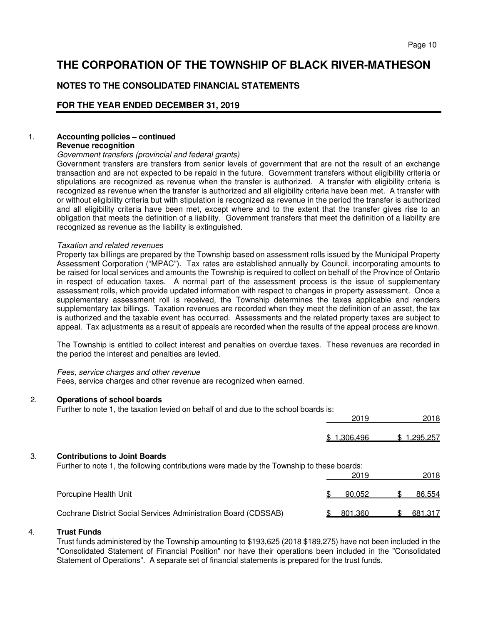## **NOTES TO THE CONSOLIDATED FINANCIAL STATEMENTS**

## **FOR THE YEAR ENDED DECEMBER 31, 2019**

### 1. **Accounting policies – continued Revenue recognition**

#### Government transfers (provincial and federal grants)

Government transfers are transfers from senior levels of government that are not the result of an exchange transaction and are not expected to be repaid in the future. Government transfers without eligibility criteria or stipulations are recognized as revenue when the transfer is authorized. A transfer with eligibility criteria is recognized as revenue when the transfer is authorized and all eligibility criteria have been met. A transfer with or without eligibility criteria but with stipulation is recognized as revenue in the period the transfer is authorized and all eligibility criteria have been met, except where and to the extent that the transfer gives rise to an obligation that meets the definition of a liability. Government transfers that meet the definition of a liability are recognized as revenue as the liability is extinguished.

#### Taxation and related revenues

Property tax billings are prepared by the Township based on assessment rolls issued by the Municipal Property Assessment Corporation ("MPAC"). Tax rates are established annually by Council, incorporating amounts to be raised for local services and amounts the Township is required to collect on behalf of the Province of Ontario in respect of education taxes. A normal part of the assessment process is the issue of supplementary assessment rolls, which provide updated information with respect to changes in property assessment. Once a supplementary assessment roll is received, the Township determines the taxes applicable and renders supplementary tax billings. Taxation revenues are recorded when they meet the definition of an asset, the tax is authorized and the taxable event has occurred. Assessments and the related property taxes are subject to appeal. Tax adjustments as a result of appeals are recorded when the results of the appeal process are known.

The Township is entitled to collect interest and penalties on overdue taxes. These revenues are recorded in the period the interest and penalties are levied.

#### Fees, service charges and other revenue

Fees, service charges and other revenue are recognized when earned.

### 2. **Operations of school boards**

Further to note 1, the taxation levied on behalf of and due to the school boards is:

|    |                                                                                                                                   | 2019        | 2018        |
|----|-----------------------------------------------------------------------------------------------------------------------------------|-------------|-------------|
|    |                                                                                                                                   | \$1,306,496 | \$1,295,257 |
| 3. | <b>Contributions to Joint Boards</b><br>Further to note 1, the following contributions were made by the Township to these boards: | 2019        | 2018        |
|    | Porcupine Health Unit                                                                                                             | 90.052      | 86,554      |
|    | Cochrane District Social Services Administration Board (CDSSAB)                                                                   | 801.360     | 681,317     |

#### 4. **Trust Funds**

Trust funds administered by the Township amounting to \$193,625 (2018 \$189,275) have not been included in the "Consolidated Statement of Financial Position" nor have their operations been included in the "Consolidated Statement of Operations". A separate set of financial statements is prepared for the trust funds.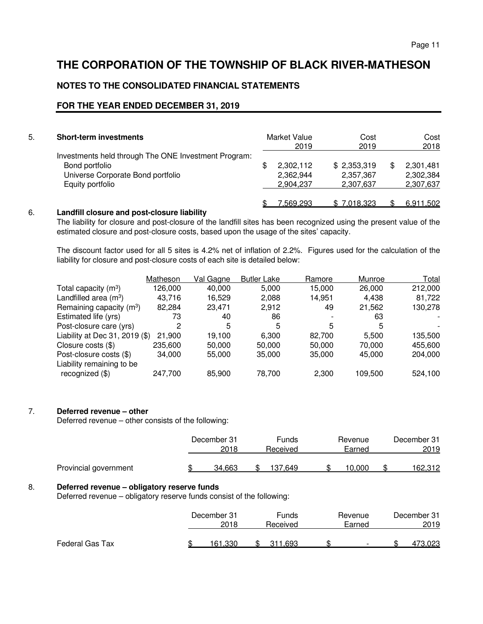## **NOTES TO THE CONSOLIDATED FINANCIAL STATEMENTS**

## **FOR THE YEAR ENDED DECEMBER 31, 2019**

| 5. | <b>Short-term investments</b>                                                                                                   | Market Value<br>2019                      | Cost<br>2019                          | Cost<br>2018                        |
|----|---------------------------------------------------------------------------------------------------------------------------------|-------------------------------------------|---------------------------------------|-------------------------------------|
|    | Investments held through The ONE Investment Program:<br>Bond portfolio<br>Universe Corporate Bond portfolio<br>Equity portfolio | \$<br>2,302,112<br>2,362,944<br>2,904,237 | \$2,353,319<br>2,357,367<br>2,307,637 | 2,301,481<br>2,302,384<br>2,307,637 |
|    |                                                                                                                                 | 7,569,293                                 | \$7,018,323                           | 6,911,502                           |

## 6. **Landfill closure and post-closure liability**

 The liability for closure and post-closure of the landfill sites has been recognized using the present value of the estimated closure and post-closure costs, based upon the usage of the sites' capacity.

 The discount factor used for all 5 sites is 4.2% net of inflation of 2.2%. Figures used for the calculation of the liability for closure and post-closure costs of each site is detailed below:

|                                      | Matheson | Val Gagne | <b>Butler Lake</b> | Ramore | Munroe  | Total   |
|--------------------------------------|----------|-----------|--------------------|--------|---------|---------|
| Total capacity $(m^3)$               | 126,000  | 40,000    | 5,000              | 15,000 | 26,000  | 212,000 |
| Landfilled area $(m3)$               | 43.716   | 16,529    | 2,088              | 14,951 | 4.438   | 81,722  |
| Remaining capacity (m <sup>3</sup> ) | 82.284   | 23.471    | 2.912              | 49     | 21,562  | 130,278 |
| Estimated life (yrs)                 | 73       | 40        | 86                 |        | 63      |         |
| Post-closure care (yrs)              | 2        | 5         | 5                  | 5      | 5       |         |
| Liability at Dec $31, 2019$ (\$)     | 21,900   | 19.100    | 6,300              | 82.700 | 5.500   | 135,500 |
| Closure costs (\$)                   | 235,600  | 50,000    | 50,000             | 50.000 | 70.000  | 455,600 |
| Post-closure costs (\$)              | 34.000   | 55,000    | 35,000             | 35,000 | 45.000  | 204,000 |
| Liability remaining to be            |          |           |                    |        |         |         |
| recognized (\$)                      | 247,700  | 85,900    | 78.700             | 2,300  | 109.500 | 524,100 |
|                                      |          |           |                    |        |         |         |

## 7. **Deferred revenue – other**

Deferred revenue – other consists of the following:

|                       | December 31<br>2018 | Funds<br>Received | Revenue<br>Earned | December 31<br>2019 |
|-----------------------|---------------------|-------------------|-------------------|---------------------|
| Provincial government | 34.663              | 137.649           | 0.000             | 162.312             |

### 8. **Deferred revenue – obligatory reserve funds**

Deferred revenue – obligatory reserve funds consist of the following:

|                 | December 31 | Funds    | Revenue                  | December 31 |
|-----------------|-------------|----------|--------------------------|-------------|
|                 | 2018        | Received | Earned                   | 2019        |
| Federal Gas Tax | .330        | .693     | $\overline{\phantom{0}}$ |             |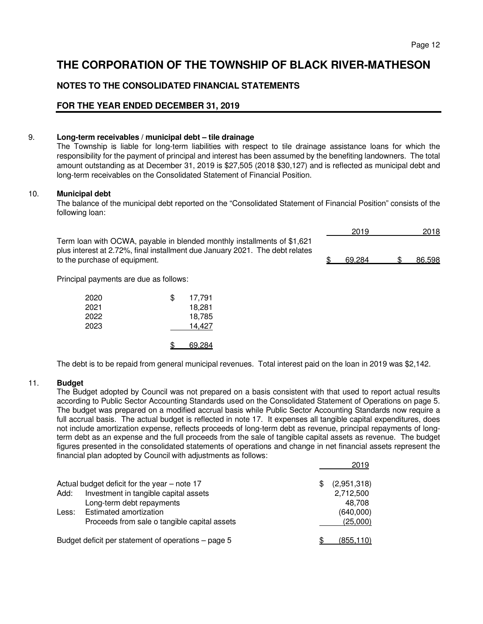## **NOTES TO THE CONSOLIDATED FINANCIAL STATEMENTS**

## **FOR THE YEAR ENDED DECEMBER 31, 2019**

### 9. **Long-term receivables / municipal debt – tile drainage**

 The Township is liable for long-term liabilities with respect to tile drainage assistance loans for which the responsibility for the payment of principal and interest has been assumed by the benefiting landowners. The total amount outstanding as at December 31, 2019 is \$27,505 (2018 \$30,127) and is reflected as municipal debt and long-term receivables on the Consolidated Statement of Financial Position.

### 10. **Municipal debt**

 The balance of the municipal debt reported on the "Consolidated Statement of Financial Position" consists of the following loan:

 $\frac{2019}{2018}$ 

 Term loan with OCWA, payable in blended monthly installments of \$1,621 plus interest at 2.72%, final installment due January 2021. The debt relates to the purchase of equipment. The same state of equipment. And the state of equipment.

Principal payments are due as follows:

| 2020<br>2021 | S | 17,791<br>18,281 |
|--------------|---|------------------|
| 2022         |   | 18,785           |
| 2023         |   | 14,427           |
|              |   | 69.284           |

The debt is to be repaid from general municipal revenues. Total interest paid on the loan in 2019 was \$2,142.

### 11. **Budget**

The Budget adopted by Council was not prepared on a basis consistent with that used to report actual results according to Public Sector Accounting Standards used on the Consolidated Statement of Operations on page 5. The budget was prepared on a modified accrual basis while Public Sector Accounting Standards now require a full accrual basis. The actual budget is reflected in note 17. It expenses all tangible capital expenditures, does not include amortization expense, reflects proceeds of long-term debt as revenue, principal repayments of longterm debt as an expense and the full proceeds from the sale of tangible capital assets as revenue. The budget figures presented in the consolidated statements of operations and change in net financial assets represent the financial plan adopted by Council with adjustments as follows:

|       |                                                     |    | 2019        |
|-------|-----------------------------------------------------|----|-------------|
|       | Actual budget deficit for the year $-$ note 17      | £. | (2,951,318) |
| Add:  | Investment in tangible capital assets               |    | 2,712,500   |
|       | Long-term debt repayments                           |    | 48.708      |
| Less: | Estimated amortization                              |    | (640,000)   |
|       | Proceeds from sale o tangible capital assets        |    | (25,000)    |
|       | Budget deficit per statement of operations – page 5 |    | (855, 110)  |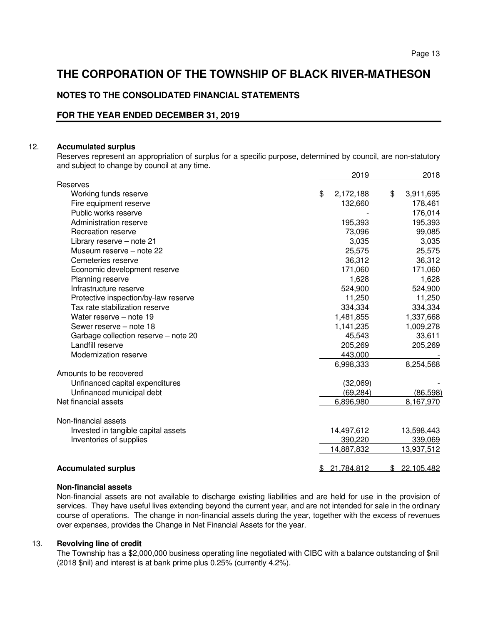## **NOTES TO THE CONSOLIDATED FINANCIAL STATEMENTS**

## **FOR THE YEAR ENDED DECEMBER 31, 2019**

#### 12. **Accumulated surplus**

 Reserves represent an appropriation of surplus for a specific purpose, determined by council, are non-statutory and subject to change by council at any time.

|                                      | 2019            | 2018             |
|--------------------------------------|-----------------|------------------|
| Reserves                             |                 |                  |
| Working funds reserve                | \$<br>2,172,188 | \$<br>3,911,695  |
| Fire equipment reserve               | 132,660         | 178,461          |
| Public works reserve                 |                 | 176,014          |
| Administration reserve               | 195,393         | 195,393          |
| Recreation reserve                   | 73,096          | 99,085           |
| Library reserve - note 21            | 3,035           | 3,035            |
| Museum reserve - note 22             | 25,575          | 25,575           |
| Cemeteries reserve                   | 36,312          | 36,312           |
| Economic development reserve         | 171,060         | 171,060          |
| Planning reserve                     | 1,628           | 1,628            |
| Infrastructure reserve               | 524,900         | 524,900          |
| Protective inspection/by-law reserve | 11,250          | 11,250           |
| Tax rate stabilization reserve       | 334,334         | 334,334          |
| Water reserve - note 19              | 1,481,855       | 1,337,668        |
| Sewer reserve – note 18              | 1,141,235       | 1,009,278        |
| Garbage collection reserve - note 20 | 45,543          | 33,611           |
| Landfill reserve                     | 205,269         | 205,269          |
| Modernization reserve                | 443,000         |                  |
|                                      | 6,998,333       | 8,254,568        |
| Amounts to be recovered              |                 |                  |
| Unfinanced capital expenditures      | (32,069)        |                  |
| Unfinanced municipal debt            | (69,284)        | (86, 598)        |
| Net financial assets                 | 6,896,980       | 8,167,970        |
| Non-financial assets                 |                 |                  |
| Invested in tangible capital assets  | 14,497,612      | 13,598,443       |
| Inventories of supplies              | 390,220         | 339,069          |
|                                      | 14,887,832      | 13,937,512       |
| <b>Accumulated surplus</b>           | 21,784,812      | \$<br>22,105,482 |

#### **Non-financial assets**

Non-financial assets are not available to discharge existing liabilities and are held for use in the provision of services. They have useful lives extending beyond the current year, and are not intended for sale in the ordinary course of operations. The change in non-financial assets during the year, together with the excess of revenues over expenses, provides the Change in Net Financial Assets for the year.

### 13. **Revolving line of credit**

 The Township has a \$2,000,000 business operating line negotiated with CIBC with a balance outstanding of \$nil (2018 \$nil) and interest is at bank prime plus 0.25% (currently 4.2%).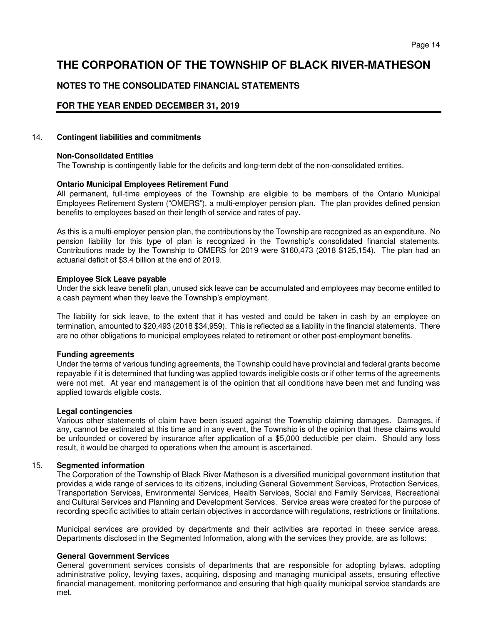## **NOTES TO THE CONSOLIDATED FINANCIAL STATEMENTS**

## **FOR THE YEAR ENDED DECEMBER 31, 2019**

#### 14. **Contingent liabilities and commitments**

#### **Non-Consolidated Entities**

The Township is contingently liable for the deficits and long-term debt of the non-consolidated entities.

### **Ontario Municipal Employees Retirement Fund**

 All permanent, full-time employees of the Township are eligible to be members of the Ontario Municipal Employees Retirement System ("OMERS"), a multi-employer pension plan. The plan provides defined pension benefits to employees based on their length of service and rates of pay.

 As this is a multi-employer pension plan, the contributions by the Township are recognized as an expenditure. No pension liability for this type of plan is recognized in the Township's consolidated financial statements. Contributions made by the Township to OMERS for 2019 were \$160,473 (2018 \$125,154). The plan had an actuarial deficit of \$3.4 billion at the end of 2019.

#### **Employee Sick Leave payable**

Under the sick leave benefit plan, unused sick leave can be accumulated and employees may become entitled to a cash payment when they leave the Township's employment.

The liability for sick leave, to the extent that it has vested and could be taken in cash by an employee on termination, amounted to \$20,493 (2018 \$34,959). This is reflected as a liability in the financial statements. There are no other obligations to municipal employees related to retirement or other post-employment benefits.

### **Funding agreements**

Under the terms of various funding agreements, the Township could have provincial and federal grants become repayable if it is determined that funding was applied towards ineligible costs or if other terms of the agreements were not met. At year end management is of the opinion that all conditions have been met and funding was applied towards eligible costs.

#### **Legal contingencies**

Various other statements of claim have been issued against the Township claiming damages. Damages, if any, cannot be estimated at this time and in any event, the Township is of the opinion that these claims would be unfounded or covered by insurance after application of a \$5,000 deductible per claim. Should any loss result, it would be charged to operations when the amount is ascertained.

### 15. **Segmented information**

The Corporation of the Township of Black River-Matheson is a diversified municipal government institution that provides a wide range of services to its citizens, including General Government Services, Protection Services, Transportation Services, Environmental Services, Health Services, Social and Family Services, Recreational and Cultural Services and Planning and Development Services. Service areas were created for the purpose of recording specific activities to attain certain objectives in accordance with regulations, restrictions or limitations.

Municipal services are provided by departments and their activities are reported in these service areas. Departments disclosed in the Segmented Information, along with the services they provide, are as follows:

### **General Government Services**

General government services consists of departments that are responsible for adopting bylaws, adopting administrative policy, levying taxes, acquiring, disposing and managing municipal assets, ensuring effective financial management, monitoring performance and ensuring that high quality municipal service standards are met.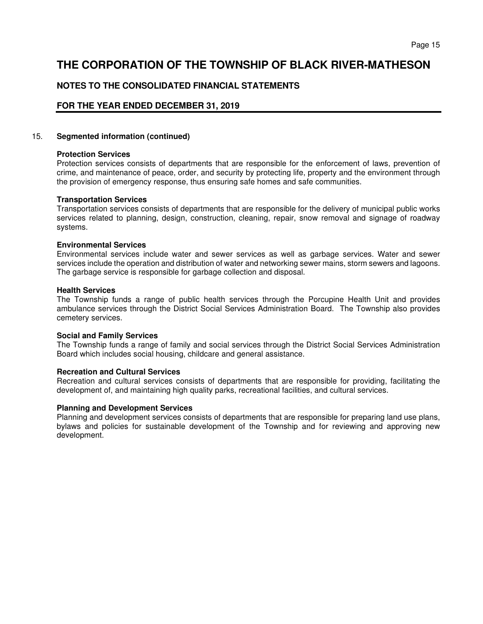## **NOTES TO THE CONSOLIDATED FINANCIAL STATEMENTS**

## **FOR THE YEAR ENDED DECEMBER 31, 2019**

### 15. **Segmented information (continued)**

### **Protection Services**

Protection services consists of departments that are responsible for the enforcement of laws, prevention of crime, and maintenance of peace, order, and security by protecting life, property and the environment through the provision of emergency response, thus ensuring safe homes and safe communities.

### **Transportation Services**

Transportation services consists of departments that are responsible for the delivery of municipal public works services related to planning, design, construction, cleaning, repair, snow removal and signage of roadway systems.

### **Environmental Services**

Environmental services include water and sewer services as well as garbage services. Water and sewer services include the operation and distribution of water and networking sewer mains, storm sewers and lagoons. The garbage service is responsible for garbage collection and disposal.

### **Health Services**

The Township funds a range of public health services through the Porcupine Health Unit and provides ambulance services through the District Social Services Administration Board. The Township also provides cemetery services.

### **Social and Family Services**

The Township funds a range of family and social services through the District Social Services Administration Board which includes social housing, childcare and general assistance.

### **Recreation and Cultural Services**

Recreation and cultural services consists of departments that are responsible for providing, facilitating the development of, and maintaining high quality parks, recreational facilities, and cultural services.

### **Planning and Development Services**

Planning and development services consists of departments that are responsible for preparing land use plans, bylaws and policies for sustainable development of the Township and for reviewing and approving new development.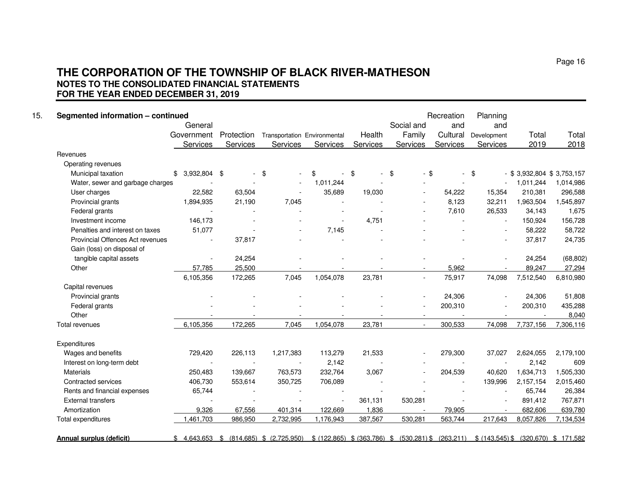## **THE CORPORATION OF THE TOWNSHIP OF BLACK RIVER-MATHESON NOTES TO THE CONSOLIDATED FINANCIAL STATEMENTS FOR THE YEAR ENDED DECEMBER 31, 2019**

| Segmented information - continued |                 |                          |                                        |                 |          | Social and                                                                                      | Recreation | Planning    |                         |           |
|-----------------------------------|-----------------|--------------------------|----------------------------------------|-----------------|----------|-------------------------------------------------------------------------------------------------|------------|-------------|-------------------------|-----------|
|                                   | General         |                          |                                        |                 |          |                                                                                                 | and        | and         |                         |           |
|                                   | Government      | Protection               | Transportation Environmental           |                 | Health   | Family                                                                                          | Cultural   | Development | Total<br>2019           | Total     |
|                                   | Services        | Services                 | Services                               | <b>Services</b> | Services | <b>Services</b>                                                                                 | Services   | Services    |                         | 2018      |
| Revenues                          |                 |                          |                                        |                 |          |                                                                                                 |            |             |                         |           |
| Operating revenues                |                 |                          |                                        |                 |          |                                                                                                 |            |             |                         |           |
| Municipal taxation                | $$3,932,804$ \$ | $\sim$                   | \$                                     | \$              | \$       | \$<br>$-$ \$                                                                                    |            | \$          | \$3,932,804 \$3,753,157 |           |
| Water, sewer and garbage charges  | $\sim$          |                          |                                        | 1,011,244       |          |                                                                                                 |            |             | 1,011,244               | 1,014,986 |
| User charges                      | 22,582          | 63,504                   |                                        | 35,689          | 19,030   |                                                                                                 | 54,222     | 15,354      | 210,381                 | 296,588   |
| Provincial grants                 | 1,894,935       | 21,190                   | 7,045                                  | $\sim$          |          |                                                                                                 | 8,123      | 32,211      | 1,963,504               | 1,545,897 |
| Federal grants                    |                 |                          |                                        |                 |          |                                                                                                 | 7,610      | 26,533      | 34,143                  | 1,675     |
| Investment income                 | 146,173         |                          |                                        |                 | 4,751    |                                                                                                 |            |             | 150,924                 | 156,728   |
| Penalties and interest on taxes   | 51,077          |                          |                                        | 7,145           |          |                                                                                                 |            |             | 58,222                  | 58,722    |
| Provincial Offences Act revenues  |                 | 37,817                   |                                        |                 |          |                                                                                                 |            |             | 37,817                  | 24,735    |
| Gain (loss) on disposal of        |                 |                          |                                        |                 |          |                                                                                                 |            |             |                         |           |
| tangible capital assets           |                 | 24,254                   |                                        |                 |          |                                                                                                 |            |             | 24,254                  | (68, 802) |
| Other                             | 57.785          | 25,500                   |                                        |                 |          |                                                                                                 | 5,962      |             | 89,247                  | 27,294    |
|                                   | 6,105,356       | 172,265                  | 7,045                                  | 1,054,078       | 23,781   | $\overline{a}$                                                                                  | 75,917     | 74,098      | 7,512,540               | 6,810,980 |
| Capital revenues                  |                 |                          |                                        |                 |          |                                                                                                 |            |             |                         |           |
| Provincial grants                 |                 |                          |                                        |                 |          |                                                                                                 | 24,306     |             | 24,306                  | 51,808    |
| Federal grants                    |                 |                          |                                        |                 |          |                                                                                                 | 200,310    |             | 200,310                 | 435,288   |
| Other                             |                 |                          |                                        |                 |          |                                                                                                 |            |             |                         | 8,040     |
| Total revenues                    | 6,105,356       | 172,265                  | 7,045                                  | 1,054,078       | 23,781   | $\blacksquare$                                                                                  | 300,533    | 74,098      | 7,737,156               | 7,306,116 |
| Expenditures                      |                 |                          |                                        |                 |          |                                                                                                 |            |             |                         |           |
| Wages and benefits                | 729,420         | 226,113                  | 1,217,383                              | 113,279         | 21,533   |                                                                                                 | 279,300    | 37,027      | 2,624,055               | 2,179,100 |
| Interest on long-term debt        |                 |                          |                                        | 2,142           |          |                                                                                                 |            |             | 2,142                   | 609       |
| Materials                         | 250,483         | 139,667                  | 763,573                                | 232,764         | 3,067    | $\sim$                                                                                          | 204,539    | 40,620      | 1,634,713               | 1,505,330 |
| Contracted services               | 406,730         | 553,614                  | 350,725                                | 706,089         |          |                                                                                                 |            | 139,996     | 2,157,154               | 2,015,460 |
| Rents and financial expenses      | 65,744          | $\overline{\phantom{a}}$ |                                        |                 |          |                                                                                                 |            |             | 65,744                  | 26,384    |
| <b>External transfers</b>         |                 |                          |                                        |                 | 361,131  | 530,281                                                                                         |            |             | 891,412                 | 767,871   |
| Amortization                      | 9,326           | 67,556                   | 401,314                                | 122,669         | 1,836    |                                                                                                 | 79,905     |             | 682,606                 | 639,780   |
| Total expenditures                | 1,461,703       | 986,950                  | 2,732,995                              | 1,176,943       | 387,567  | 530,281                                                                                         | 563,744    | 217,643     | 8,057,826               | 7,134,534 |
| Annual surplus (deficit)          |                 |                          | $$4,643,653$ $$814,685$ $$(2,725,950)$ |                 |          | $$$ (122,865) $$$ (363,786) $$$ (530,281) $$$ (263,211) $$$ (143,545) $$$ (320,670) $$$ 171,582 |            |             |                         |           |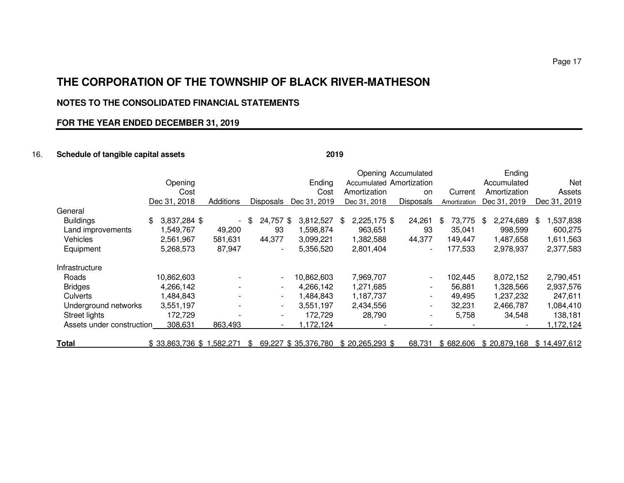## **NOTES TO THE CONSOLIDATED FINANCIAL STATEMENTS**

## **FOR THE YEAR ENDED DECEMBER 31, 2019**

## 16. **Schedule of tangible capital assets 2019**

|                           |                          |           |                          |                     |                          | Opening Accumulated      |              | Ending          |               |
|---------------------------|--------------------------|-----------|--------------------------|---------------------|--------------------------|--------------------------|--------------|-----------------|---------------|
|                           | Opening                  |           |                          | Ending              | Accumulated Amortization |                          |              | Accumulated     | Net           |
|                           | Cost                     |           |                          | Cost                | Amortization             | on                       | Current      | Amortization    | Assets        |
|                           | Dec 31, 2018             | Additions | Disposals                | Dec 31, 2019        | Dec 31, 2018             | <b>Disposals</b>         | Amortization | Dec 31, 2019    | Dec 31, 2019  |
| General                   |                          |           |                          |                     |                          |                          |              |                 |               |
| <b>Buildings</b>          | 3,837,284 \$<br>\$.      |           | 24,757<br>\$             | \$<br>3,812,527     | 2,225,175 \$<br>\$       | 24,261                   | 73,775<br>\$ | 2,274,689<br>\$ | 537,838<br>\$ |
| Land improvements         | 1,549,767                | 49,200    | 93                       | 1,598,874           | 963,651                  | 93                       | 35,041       | 998,599         | 600,275       |
| Vehicles                  | 2,561,967                | 581,631   | 44,377                   | 3,099,221           | 1,382,588                | 44,377                   | 149,447      | 1,487,658       | 1,611,563     |
| Equipment                 | 5,268,573                | 87,947    | $\blacksquare$           | 5,356,520           | 2,801,404                |                          | 177,533      | 2,978,937       | 2,377,583     |
| Infrastructure            |                          |           |                          |                     |                          |                          |              |                 |               |
| Roads                     | 10,862,603               |           | $\overline{\phantom{a}}$ | 10,862,603          | 7,969,707                | $\overline{\phantom{a}}$ | 102,445      | 8,072,152       | 2,790,451     |
| <b>Bridges</b>            | 4,266,142                | -         | $\overline{\phantom{0}}$ | 4,266,142           | 1,271,685                | $\overline{\phantom{a}}$ | 56,881       | 1,328,566       | 2,937,576     |
| Culverts                  | 1,484,843                |           | $\overline{\phantom{a}}$ | 1,484,843           | 1,187,737                | $\overline{\phantom{a}}$ | 49,495       | 1,237,232       | 247,611       |
| Underground networks      | 3,551,197                | -         | $\overline{\phantom{a}}$ | 3,551,197           | 2,434,556                | $\overline{\phantom{a}}$ | 32,231       | 2,466,787       | 1,084,410     |
| Street lights             | 172,729                  |           | $\overline{\phantom{a}}$ | 172.729             | 28,790                   | $\overline{\phantom{a}}$ | 5,758        | 34,548          | 138,181       |
| Assets under construction | 308,631                  | 863,493   | $\overline{\phantom{a}}$ | 1,172,124           |                          |                          |              |                 | 1,172,124     |
| <b>Total</b>              | \$33,863,736 \$1,582,271 |           | -SS                      | 69,227 \$35,376,780 | $$20,265,293$ \$         | 68.731                   | \$682,606    | \$20.879.168    | \$14.497.612  |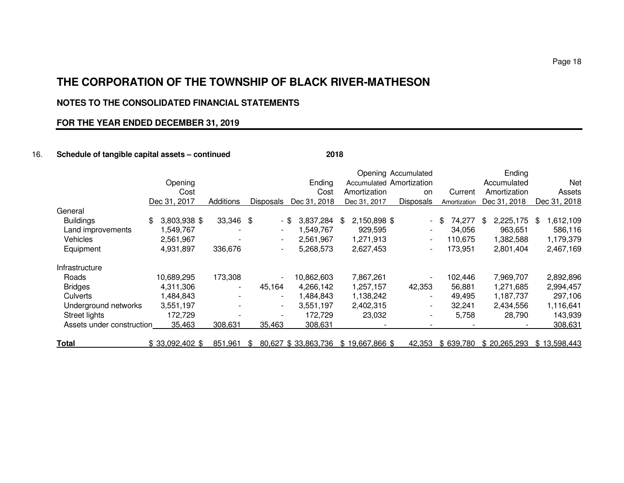## **NOTES TO THE CONSOLIDATED FINANCIAL STATEMENTS**

## **FOR THE YEAR ENDED DECEMBER 31, 2019**

## 16. **Schedule of tangible capital assets – continued 2018**

|                           |                    |                          |                          |                     |                          | Opening Accumulated      |              | Ending          |                |
|---------------------------|--------------------|--------------------------|--------------------------|---------------------|--------------------------|--------------------------|--------------|-----------------|----------------|
|                           | Opening            |                          |                          | Ending              | Accumulated Amortization |                          |              | Accumulated     | Net            |
|                           | Cost               |                          |                          | Cost                | Amortization             | on                       | Current      | Amortization    | Assets         |
|                           | Dec 31, 2017       | Additions                | <b>Disposals</b>         | Dec 31, 2018        | Dec 31, 2017             | <b>Disposals</b>         | Amortization | Dec 31, 2018    | Dec 31, 2018   |
| General                   |                    |                          |                          |                     |                          |                          |              |                 |                |
| <b>Buildings</b>          | 3,803,938 \$<br>\$ | 33,346 \$                |                          | 3,837,284<br>- \$   | 2,150,898 \$<br>- \$     | $\overline{\phantom{0}}$ | 74,277<br>\$ | 2,225,175<br>\$ | ,612,109<br>\$ |
| Land improvements         | 1,549,767          |                          |                          | 1,549,767           | 929,595                  | $\overline{\phantom{0}}$ | 34,056       | 963,651         | 586,116        |
| Vehicles                  | 2,561,967          |                          | $\overline{\phantom{a}}$ | 2,561,967           | 1,271,913                | $\overline{\phantom{a}}$ | 110,675      | 1,382,588       | 1,179,379      |
| Equipment                 | 4,931,897          | 336,676                  | $\overline{\phantom{a}}$ | 5,268,573           | 2,627,453                | $\overline{\phantom{a}}$ | 173,951      | 2,801,404       | 2,467,169      |
| Infrastructure            |                    |                          |                          |                     |                          |                          |              |                 |                |
| Roads                     | 10,689,295         | 173,308                  |                          | 10,862,603          | 7,867,261                |                          | 102,446      | 7,969,707       | 2,892,896      |
| <b>Bridges</b>            | 4,311,306          | $\overline{\phantom{a}}$ | 45,164                   | 4.266.142           | 1,257,157                | 42,353                   | 56,881       | 1,271,685       | 2,994,457      |
| Culverts                  | 1,484,843          |                          | $\blacksquare$           | 1,484,843           | 1,138,242                |                          | 49,495       | 1,187,737       | 297,106        |
| Underground networks      | 3,551,197          |                          | $\overline{\phantom{a}}$ | 3,551,197           | 2,402,315                | $\overline{\phantom{a}}$ | 32,241       | 2,434,556       | 1,116,641      |
| Street lights             | 172,729            |                          |                          | 172,729             | 23,032                   | $\overline{\phantom{a}}$ | 5,758        | 28,790          | 143,939        |
| Assets under construction | 35,463             | 308,631                  | 35,463                   | 308,631             |                          | $\overline{\phantom{a}}$ |              |                 | 308,631        |
| <b>Total</b>              | $$33.092.402$ \$   | 851.961                  | -SS                      | 80,627 \$33,863,736 | \$19,667,866 \$          | 42.353                   | \$639,780    | \$20,265,293    | \$13,598,443   |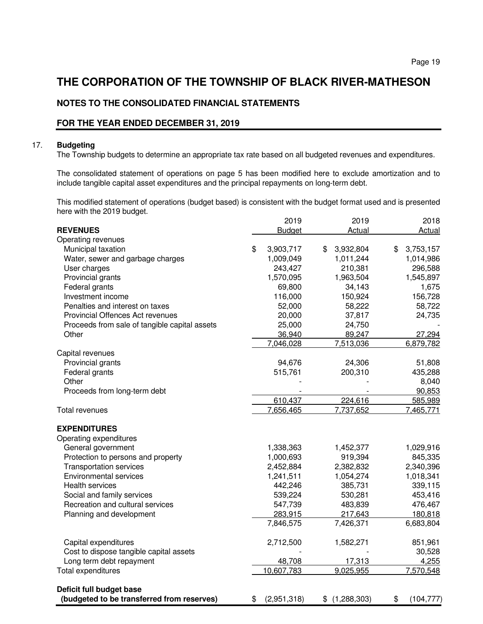## **NOTES TO THE CONSOLIDATED FINANCIAL STATEMENTS**

## **FOR THE YEAR ENDED DECEMBER 31, 2019**

### 17. **Budgeting**

The Township budgets to determine an appropriate tax rate based on all budgeted revenues and expenditures.

 The consolidated statement of operations on page 5 has been modified here to exclude amortization and to include tangible capital asset expenditures and the principal repayments on long-term debt.

 This modified statement of operations (budget based) is consistent with the budget format used and is presented here with the 2019 budget.

|                                               | 2019              | 2019              | 2018             |
|-----------------------------------------------|-------------------|-------------------|------------------|
| <b>REVENUES</b>                               | <b>Budget</b>     | Actual            | Actual           |
| Operating revenues                            |                   |                   |                  |
| Municipal taxation                            | \$<br>3,903,717   | \$<br>3,932,804   | \$<br>3,753,157  |
| Water, sewer and garbage charges              | 1,009,049         | 1,011,244         | 1,014,986        |
| User charges                                  | 243,427           | 210,381           | 296,588          |
| Provincial grants                             | 1,570,095         | 1,963,504         | 1,545,897        |
| Federal grants                                | 69,800            | 34,143            | 1,675            |
| Investment income                             | 116,000           | 150,924           | 156,728          |
| Penalties and interest on taxes               | 52,000            | 58,222            | 58,722           |
| Provincial Offences Act revenues              | 20,000            | 37,817            | 24,735           |
| Proceeds from sale of tangible capital assets | 25,000            | 24,750            |                  |
| Other                                         | 36,940            | 89,247            | 27,294           |
|                                               | 7,046,028         | 7,513,036         | 6,879,782        |
| Capital revenues                              |                   |                   |                  |
| Provincial grants                             | 94,676            | 24,306            | 51,808           |
| Federal grants                                | 515,761           | 200,310           | 435,288          |
| Other                                         |                   |                   | 8,040            |
| Proceeds from long-term debt                  |                   |                   | 90,853           |
|                                               | 610,437           | 224,616           | 585,989          |
| <b>Total revenues</b>                         | 7,656,465         | 7,737,652         | 7,465,771        |
|                                               |                   |                   |                  |
| <b>EXPENDITURES</b>                           |                   |                   |                  |
| Operating expenditures                        |                   |                   |                  |
| General government                            | 1,338,363         | 1,452,377         | 1,029,916        |
| Protection to persons and property            | 1,000,693         | 919,394           | 845,335          |
| <b>Transportation services</b>                | 2,452,884         | 2,382,832         | 2,340,396        |
| <b>Environmental services</b>                 | 1,241,511         | 1,054,274         | 1,018,341        |
| <b>Health services</b>                        | 442,246           | 385,731           | 339,115          |
| Social and family services                    | 539,224           | 530,281           | 453,416          |
| Recreation and cultural services              | 547,739           | 483,839           | 476,467          |
| Planning and development                      | 283,915           | 217,643           | 180,818          |
|                                               | 7,846,575         | 7,426,371         | 6,683,804        |
| Capital expenditures                          | 2,712,500         | 1,582,271         | 851,961          |
| Cost to dispose tangible capital assets       |                   |                   | 30,528           |
| Long term debt repayment                      | 48,708            | 17,313            | 4,255            |
| Total expenditures                            | 10,607,783        | 9,025,955         | 7,570,548        |
|                                               |                   |                   |                  |
| Deficit full budget base                      |                   |                   |                  |
| (budgeted to be transferred from reserves)    | \$<br>(2,951,318) | \$<br>(1,288,303) | \$<br>(104, 777) |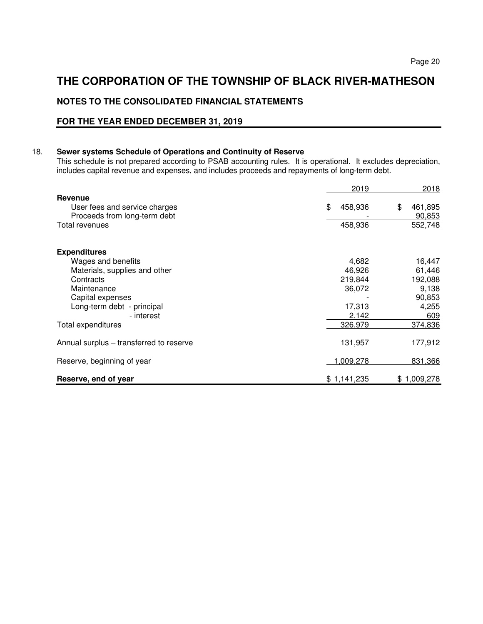# **NOTES TO THE CONSOLIDATED FINANCIAL STATEMENTS**

## **FOR THE YEAR ENDED DECEMBER 31, 2019**

## 18. **Sewer systems Schedule of Operations and Continuity of Reserve**

This schedule is not prepared according to PSAB accounting rules. It is operational. It excludes depreciation, includes capital revenue and expenses, and includes proceeds and repayments of long-term debt.

|                                                                                 | 2019          | 2018                    |
|---------------------------------------------------------------------------------|---------------|-------------------------|
| <b>Revenue</b><br>User fees and service charges<br>Proceeds from long-term debt | \$<br>458,936 | \$<br>461,895<br>90,853 |
| Total revenues                                                                  | 458,936       | 552,748                 |
| <b>Expenditures</b>                                                             |               |                         |
| Wages and benefits                                                              | 4,682         | 16,447                  |
| Materials, supplies and other                                                   | 46,926        | 61,446                  |
| Contracts                                                                       | 219,844       | 192,088                 |
| Maintenance                                                                     | 36,072        | 9,138                   |
| Capital expenses                                                                |               | 90,853                  |
| Long-term debt - principal                                                      | 17,313        | 4,255                   |
| - interest                                                                      | 2,142         | 609                     |
| Total expenditures                                                              | 326,979       | 374,836                 |
| Annual surplus – transferred to reserve                                         | 131,957       | 177,912                 |
| Reserve, beginning of year                                                      | 1,009,278     | 831,366                 |
| Reserve, end of year                                                            | \$1,141,235   | \$1,009,278             |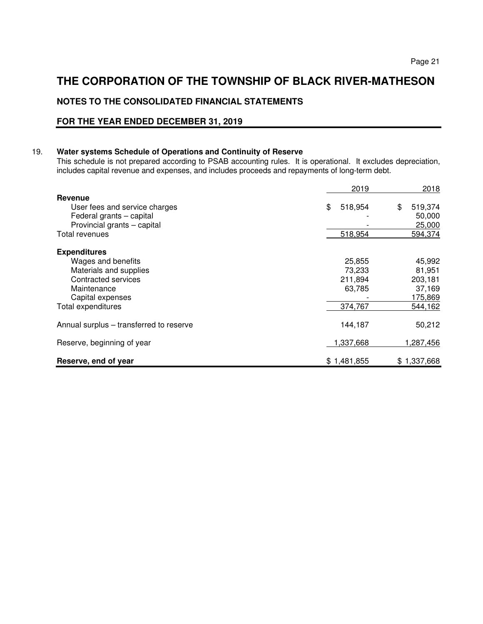# **NOTES TO THE CONSOLIDATED FINANCIAL STATEMENTS**

## **FOR THE YEAR ENDED DECEMBER 31, 2019**

## 19. **Water systems Schedule of Operations and Continuity of Reserve**

This schedule is not prepared according to PSAB accounting rules. It is operational. It excludes depreciation, includes capital revenue and expenses, and includes proceeds and repayments of long-term debt.

|                                         | 2019          | 2018          |
|-----------------------------------------|---------------|---------------|
| Revenue                                 |               |               |
| User fees and service charges           | 518,954<br>\$ | 519,374<br>\$ |
| Federal grants - capital                |               | 50,000        |
| Provincial grants - capital             |               | 25,000        |
| Total revenues                          | 518,954       | 594,374       |
| <b>Expenditures</b>                     |               |               |
| Wages and benefits                      | 25,855        | 45,992        |
| Materials and supplies                  | 73.233        | 81,951        |
| Contracted services                     | 211,894       | 203,181       |
| Maintenance                             | 63,785        | 37,169        |
| Capital expenses                        |               | 175,869       |
| Total expenditures                      | 374,767       | 544,162       |
| Annual surplus – transferred to reserve | 144,187       | 50,212        |
| Reserve, beginning of year              | 1,337,668     | 1,287,456     |
| Reserve, end of year                    | \$1,481,855   | \$1,337,668   |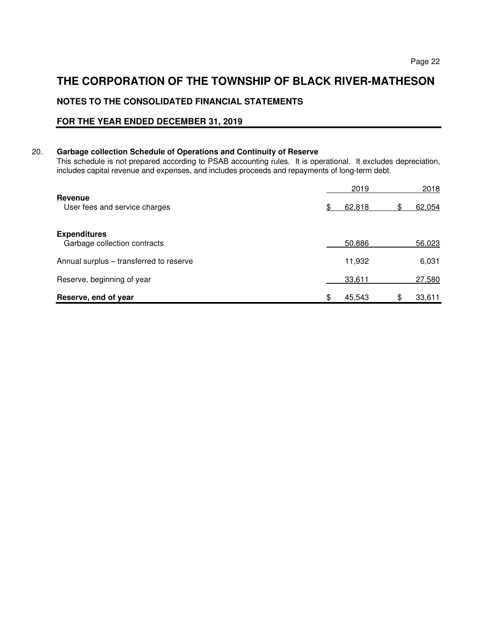# **NOTES TO THE CONSOLIDATED FINANCIAL STATEMENTS**

## **FOR THE YEAR ENDED DECEMBER 31, 2019**

## 20. **Garbage collection Schedule of Operations and Continuity of Reserve**

This schedule is not prepared according to PSAB accounting rules. It is operational. It excludes depreciation, includes capital revenue and expenses, and includes proceeds and repayments of long-term debt.

|                                                     |     | 2019   | 2018         |
|-----------------------------------------------------|-----|--------|--------------|
| Revenue<br>User fees and service charges            | \$. | 62,818 | 62,054       |
| <b>Expenditures</b><br>Garbage collection contracts |     | 50,886 | 56,023       |
| Annual surplus – transferred to reserve             |     | 11,932 | 6,031        |
| Reserve, beginning of year                          |     | 33,611 | 27,580       |
| Reserve, end of year                                | \$  | 45,543 | \$<br>33,611 |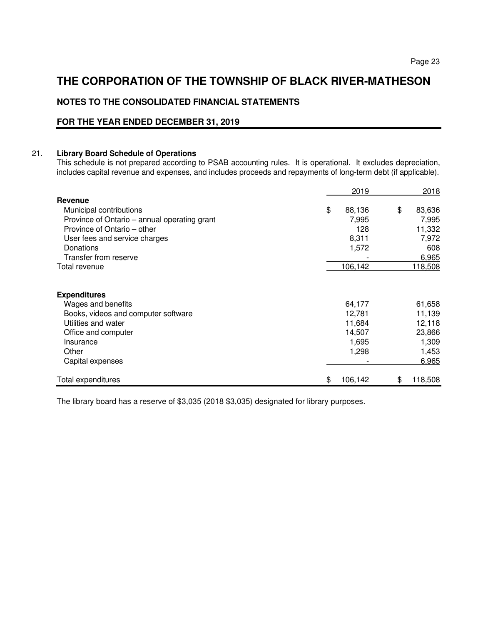# **NOTES TO THE CONSOLIDATED FINANCIAL STATEMENTS**

## **FOR THE YEAR ENDED DECEMBER 31, 2019**

## 21. **Library Board Schedule of Operations**

This schedule is not prepared according to PSAB accounting rules. It is operational. It excludes depreciation, includes capital revenue and expenses, and includes proceeds and repayments of long-term debt (if applicable).

|                                              | 2019          | 2018          |
|----------------------------------------------|---------------|---------------|
| <b>Revenue</b>                               |               |               |
| Municipal contributions                      | \$<br>88,136  | \$<br>83,636  |
| Province of Ontario – annual operating grant | 7,995         | 7,995         |
| Province of Ontario – other                  | 128           | 11,332        |
| User fees and service charges                | 8,311         | 7,972         |
| Donations                                    | 1,572         | 608           |
| Transfer from reserve                        |               | 6,965         |
| Total revenue                                | 106,142       | 118,508       |
| <b>Expenditures</b>                          |               |               |
| Wages and benefits                           | 64,177        | 61,658        |
| Books, videos and computer software          | 12,781        | 11,139        |
| Utilities and water                          | 11,684        | 12,118        |
| Office and computer                          | 14,507        | 23,866        |
| Insurance                                    | 1,695         | 1,309         |
| Other                                        | 1,298         | 1,453         |
| Capital expenses                             |               | 6,965         |
| Total expenditures                           | \$<br>106,142 | \$<br>118,508 |

The library board has a reserve of \$3,035 (2018 \$3,035) designated for library purposes.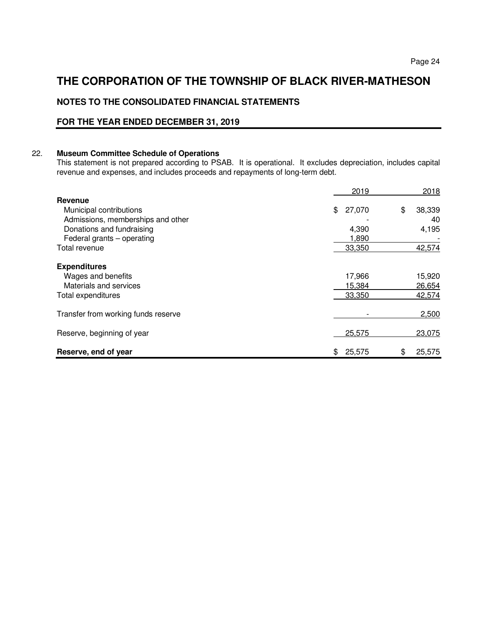# **NOTES TO THE CONSOLIDATED FINANCIAL STATEMENTS**

## **FOR THE YEAR ENDED DECEMBER 31, 2019**

## 22. **Museum Committee Schedule of Operations**

This statement is not prepared according to PSAB. It is operational. It excludes depreciation, includes capital revenue and expenses, and includes proceeds and repayments of long-term debt.

|                                     | 2019         | 2018         |
|-------------------------------------|--------------|--------------|
| Revenue                             |              |              |
| Municipal contributions             | \$<br>27,070 | \$<br>38,339 |
| Admissions, memberships and other   |              | 40           |
| Donations and fundraising           | 4,390        | 4,195        |
| Federal grants – operating          | 1,890        |              |
| Total revenue                       | 33,350       | 42,574       |
| <b>Expenditures</b>                 |              |              |
| Wages and benefits                  | 17,966       | 15,920       |
| Materials and services              | 15,384       | 26,654       |
| Total expenditures                  | 33,350       | 42,574       |
| Transfer from working funds reserve |              | 2,500        |
| Reserve, beginning of year          | 25,575       | 23,075       |
| Reserve, end of year                | 25,575<br>\$ | 25,575<br>\$ |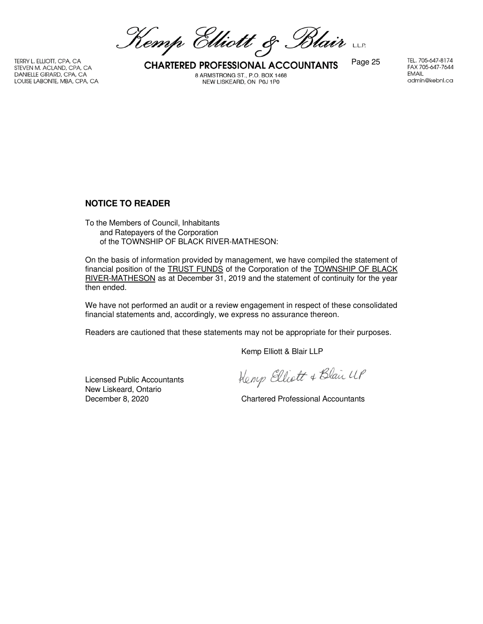Kemp Elliott & Blair

DANIELLE GIRARD, CPA, CA LOUISE LABONTE, MBA, CPA, CA

TERRY L. ELLIOTT, CPA, CA<br>STEVEN M. ACLAND, CPA, CA **CHARTERED PROFESSIONAL ACCOUNTANTS** Page 25 8 ARMSTRONG ST., P.O. BOX 1468 NEW LISKEARD, ON P0J 1P0

TEL. 705-647-8174 FAX 705-647-7644 **EMAIL** admin@kebnl.ca

## **NOTICE TO READER**

To the Members of Council, Inhabitants and Ratepayers of the Corporation of the TOWNSHIP OF BLACK RIVER-MATHESON:

On the basis of information provided by management, we have compiled the statement of financial position of the TRUST FUNDS of the Corporation of the TOWNSHIP OF BLACK RIVER-MATHESON as at December 31, 2019 and the statement of continuity for the year then ended.

We have not performed an audit or a review engagement in respect of these consolidated financial statements and, accordingly, we express no assurance thereon.

Readers are cautioned that these statements may not be appropriate for their purposes.

Kemp Elliott & Blair LLP

Licensed Public Accountants New Liskeard, Ontario<br>December 8, 2020

Kemp Elliott & Blair UP

**Chartered Professional Accountants**